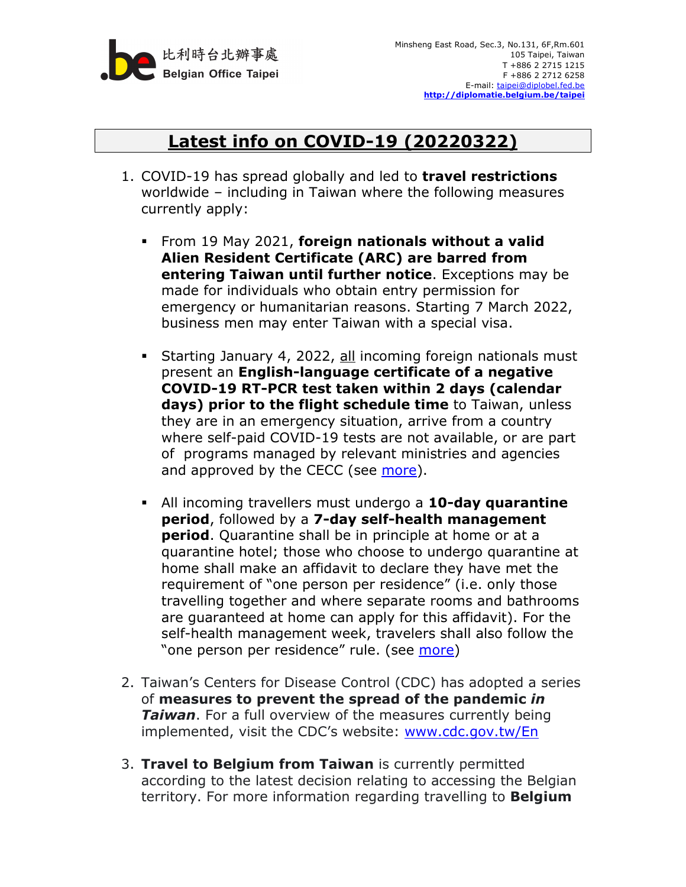

## **Latest info on COVID-19 (20220322)**

- 1. COVID-19 has spread globally and led to **travel restrictions** worldwide – including in Taiwan where the following measures currently apply:
	- From 19 May 2021, **foreign nationals without a valid Alien Resident Certificate (ARC) are barred from entering Taiwan until further notice**. Exceptions may be made for individuals who obtain entry permission for emergency or humanitarian reasons. Starting 7 March 2022, business men may enter Taiwan with a special visa.
	- Starting January 4, 2022, all incoming foreign nationals must present an **English-language certificate of a negative COVID-19 RT-PCR test taken within 2 days (calendar days) prior to the flight schedule time** to Taiwan, unless they are in an emergency situation, arrive from a country where self-paid COVID-19 tests are not available, or are part of programs managed by relevant ministries and agencies and approved by the CECC (see more).
	- All incoming travellers must undergo a **10-day quarantine period**, followed by a **7-day self-health management period**. Quarantine shall be in principle at home or at a quarantine hotel; those who choose to undergo quarantine at home shall make an affidavit to declare they have met the requirement of "one person per residence" (i.e. only those travelling together and where separate rooms and bathrooms are guaranteed at home can apply for this affidavit). For the self-health management week, travelers shall also follow the "one person per residence" rule. (see more)
- 2. Taiwan's Centers for Disease Control (CDC) has adopted a series of **measures to prevent the spread of the pandemic** *in Taiwan*. For a full overview of the measures currently being implemented, visit the CDC's website: www.cdc.gov.tw/En
- 3. **Travel to Belgium from Taiwan** is currently permitted according to the latest decision relating to accessing the Belgian territory. For more information regarding travelling to **Belgium**